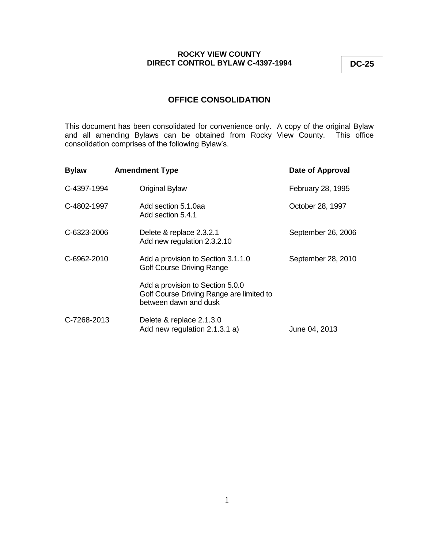**DC-25**

# **OFFICE CONSOLIDATION**

This document has been consolidated for convenience only. A copy of the original Bylaw and all amending Bylaws can be obtained from Rocky View County. This office consolidation comprises of the following Bylaw's.

| <b>Bylaw</b> | <b>Amendment Type</b>                                                                                 | Date of Approval   |
|--------------|-------------------------------------------------------------------------------------------------------|--------------------|
| C-4397-1994  | <b>Original Bylaw</b>                                                                                 | February 28, 1995  |
| C-4802-1997  | Add section 5.1.0aa<br>Add section 5.4.1                                                              | October 28, 1997   |
| C-6323-2006  | Delete & replace 2.3.2.1<br>Add new regulation 2.3.2.10                                               | September 26, 2006 |
| C-6962-2010  | Add a provision to Section 3.1.1.0<br><b>Golf Course Driving Range</b>                                | September 28, 2010 |
|              | Add a provision to Section 5.0.0<br>Golf Course Driving Range are limited to<br>between dawn and dusk |                    |
| C-7268-2013  | Delete & replace 2.1.3.0<br>Add new regulation 2.1.3.1 a)                                             | June 04, 2013      |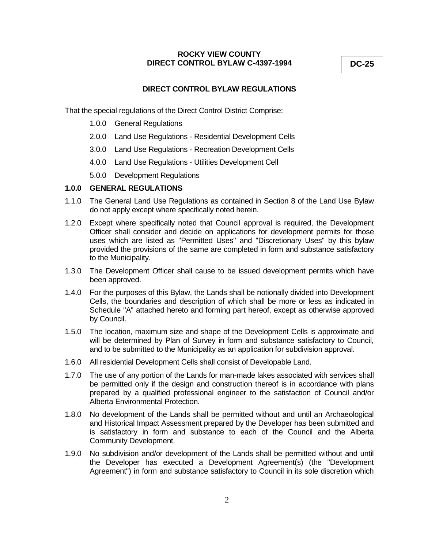**DC-25**

# **DIRECT CONTROL BYLAW REGULATIONS**

That the special regulations of the Direct Control District Comprise:

- 1.0.0 General Regulations
- 2.0.0 Land Use Regulations Residential Development Cells
- 3.0.0 Land Use Regulations Recreation Development Cells
- 4.0.0 Land Use Regulations Utilities Development Cell
- 5.0.0 Development Regulations

### **1.0.0 GENERAL REGULATIONS**

- 1.1.0 The General Land Use Regulations as contained in Section 8 of the Land Use Bylaw do not apply except where specifically noted herein.
- 1.2.0 Except where specifically noted that Council approval is required, the Development Officer shall consider and decide on applications for development permits for those uses which are listed as "Permitted Uses" and "Discretionary Uses" by this bylaw provided the provisions of the same are completed in form and substance satisfactory to the Municipality.
- 1.3.0 The Development Officer shall cause to be issued development permits which have been approved.
- 1.4.0 For the purposes of this Bylaw, the Lands shall be notionally divided into Development Cells, the boundaries and description of which shall be more or less as indicated in Schedule "A" attached hereto and forming part hereof, except as otherwise approved by Council.
- 1.5.0 The location, maximum size and shape of the Development Cells is approximate and will be determined by Plan of Survey in form and substance satisfactory to Council, and to be submitted to the Municipality as an application for subdivision approval.
- 1.6.0 All residential Development Cells shall consist of Developable Land.
- 1.7.0 The use of any portion of the Lands for man-made lakes associated with services shall be permitted only if the design and construction thereof is in accordance with plans prepared by a qualified professional engineer to the satisfaction of Council and/or Alberta Environmental Protection.
- 1.8.0 No development of the Lands shall be permitted without and until an Archaeological and Historical Impact Assessment prepared by the Developer has been submitted and is satisfactory in form and substance to each of the Council and the Alberta Community Development.
- 1.9.0 No subdivision and/or development of the Lands shall be permitted without and until the Developer has executed a Development Agreement(s) (the "Development Agreement") in form and substance satisfactory to Council in its sole discretion which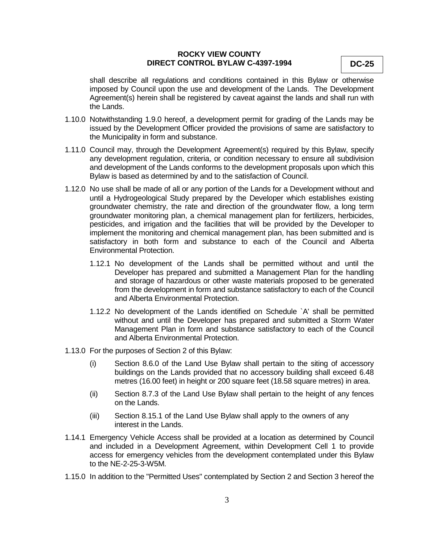**DC-25**

shall describe all regulations and conditions contained in this Bylaw or otherwise imposed by Council upon the use and development of the Lands. The Development Agreement(s) herein shall be registered by caveat against the lands and shall run with the Lands.

- 1.10.0 Notwithstanding 1.9.0 hereof, a development permit for grading of the Lands may be issued by the Development Officer provided the provisions of same are satisfactory to the Municipality in form and substance.
- 1.11.0 Council may, through the Development Agreement(s) required by this Bylaw, specify any development regulation, criteria, or condition necessary to ensure all subdivision and development of the Lands conforms to the development proposals upon which this Bylaw is based as determined by and to the satisfaction of Council.
- 1.12.0 No use shall be made of all or any portion of the Lands for a Development without and until a Hydrogeological Study prepared by the Developer which establishes existing groundwater chemistry, the rate and direction of the groundwater flow, a long term groundwater monitoring plan, a chemical management plan for fertilizers, herbicides, pesticides, and irrigation and the facilities that will be provided by the Developer to implement the monitoring and chemical management plan, has been submitted and is satisfactory in both form and substance to each of the Council and Alberta Environmental Protection.
	- 1.12.1 No development of the Lands shall be permitted without and until the Developer has prepared and submitted a Management Plan for the handling and storage of hazardous or other waste materials proposed to be generated from the development in form and substance satisfactory to each of the Council and Alberta Environmental Protection.
	- 1.12.2 No development of the Lands identified on Schedule `A' shall be permitted without and until the Developer has prepared and submitted a Storm Water Management Plan in form and substance satisfactory to each of the Council and Alberta Environmental Protection.
- 1.13.0 For the purposes of Section 2 of this Bylaw:
	- (i) Section 8.6.0 of the Land Use Bylaw shall pertain to the siting of accessory buildings on the Lands provided that no accessory building shall exceed 6.48 metres (16.00 feet) in height or 200 square feet (18.58 square metres) in area.
	- (ii) Section 8.7.3 of the Land Use Bylaw shall pertain to the height of any fences on the Lands.
	- (iii) Section 8.15.1 of the Land Use Bylaw shall apply to the owners of any interest in the Lands.
- 1.14.1 Emergency Vehicle Access shall be provided at a location as determined by Council and included in a Development Agreement, within Development Cell 1 to provide access for emergency vehicles from the development contemplated under this Bylaw to the NE-2-25-3-W5M.
- 1.15.0 In addition to the "Permitted Uses" contemplated by Section 2 and Section 3 hereof the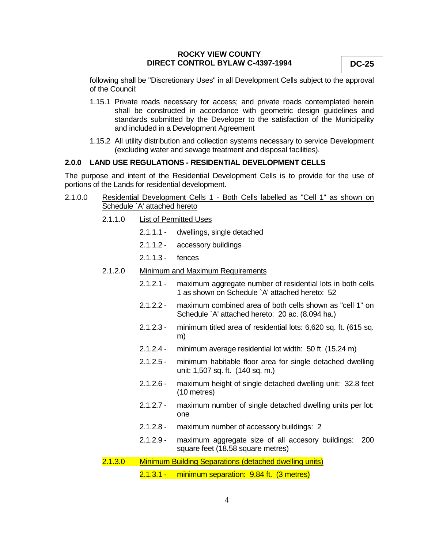**DC-25**

following shall be "Discretionary Uses" in all Development Cells subject to the approval of the Council:

- 1.15.1 Private roads necessary for access; and private roads contemplated herein shall be constructed in accordance with geometric design guidelines and standards submitted by the Developer to the satisfaction of the Municipality and included in a Development Agreement
- 1.15.2 All utility distribution and collection systems necessary to service Development (excluding water and sewage treatment and disposal facilities).

### **2.0.0 LAND USE REGULATIONS - RESIDENTIAL DEVELOPMENT CELLS**

The purpose and intent of the Residential Development Cells is to provide for the use of portions of the Lands for residential development.

- 2.1.0.0 Residential Development Cells 1 Both Cells labelled as "Cell 1" as shown on Schedule `A' attached hereto
	- 2.1.1.0 List of Permitted Uses
		- 2.1.1.1 dwellings, single detached
		- 2.1.1.2 accessory buildings
		- 2.1.1.3 fences
	- 2.1.2.0 Minimum and Maximum Requirements
		- 2.1.2.1 maximum aggregate number of residential lots in both cells 1 as shown on Schedule `A' attached hereto: 52
		- 2.1.2.2 maximum combined area of both cells shown as "cell 1" on Schedule `A' attached hereto: 20 ac. (8.094 ha.)
		- 2.1.2.3 minimum titled area of residential lots: 6,620 sq. ft. (615 sq. m)
		- 2.1.2.4 minimum average residential lot width: 50 ft. (15.24 m)
		- 2.1.2.5 minimum habitable floor area for single detached dwelling unit: 1,507 sq. ft. (140 sq. m.)
		- 2.1.2.6 maximum height of single detached dwelling unit: 32.8 feet (10 metres)
		- 2.1.2.7 maximum number of single detached dwelling units per lot: one
		- 2.1.2.8 maximum number of accessory buildings: 2
		- 2.1.2.9 maximum aggregate size of all accesory buildings: 200 square feet (18.58 square metres)
	- 2.1.3.0 Minimum Building Separations (detached dwelling units)

2.1.3.1 - minimum separation: 9.84 ft. (3 metres)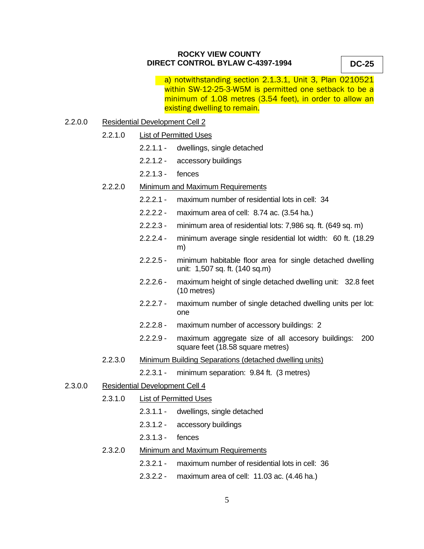**DC-25**

a) notwithstanding section 2.1.3.1, Unit 3, Plan 0210521 within SW-12-25-3-W5M is permitted one setback to be a minimum of 1.08 metres (3.54 feet), in order to allow an existing dwelling to remain.

# 2.2.0.0 Residential Development Cell 2

- 2.2.1.0 List of Permitted Uses
	- 2.2.1.1 dwellings, single detached
	- 2.2.1.2 accessory buildings
	- 2.2.1.3 fences

### 2.2.2.0 Minimum and Maximum Requirements

- 2.2.2.1 maximum number of residential lots in cell: 34
- 2.2.2.2 maximum area of cell: 8.74 ac. (3.54 ha.)
- 2.2.2.3 minimum area of residential lots: 7,986 sq. ft. (649 sq. m)
- 2.2.2.4 minimum average single residential lot width: 60 ft. (18.29 m)
- 2.2.2.5 minimum habitable floor area for single detached dwelling unit: 1,507 sq. ft. (140 sq.m)
- 2.2.2.6 maximum height of single detached dwelling unit: 32.8 feet (10 metres)
- 2.2.2.7 maximum number of single detached dwelling units per lot: one
- 2.2.2.8 maximum number of accessory buildings: 2
- 2.2.2.9 maximum aggregate size of all accesory buildings: 200 square feet (18.58 square metres)
- 2.2.3.0 Minimum Building Separations (detached dwelling units)
	- 2.2.3.1 minimum separation: 9.84 ft. (3 metres)
- 2.3.0.0 Residential Development Cell 4
	- 2.3.1.0 List of Permitted Uses
		- 2.3.1.1 dwellings, single detached
		- 2.3.1.2 accessory buildings
		- 2.3.1.3 fences
	- 2.3.2.0 Minimum and Maximum Requirements
		- 2.3.2.1 maximum number of residential lots in cell: 36
		- 2.3.2.2 maximum area of cell: 11.03 ac. (4.46 ha.)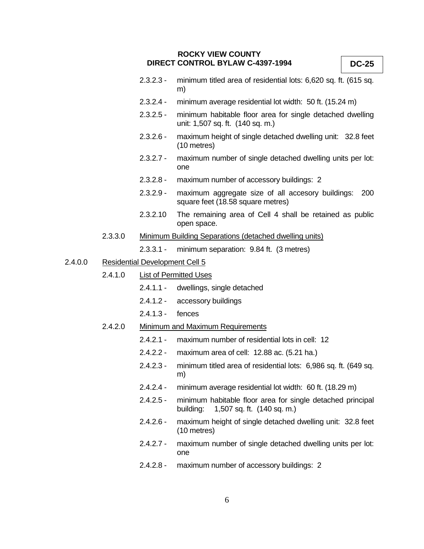**DC-25**

- 2.3.2.3 minimum titled area of residential lots: 6,620 sq. ft. (615 sq. m)
- 2.3.2.4 minimum average residential lot width: 50 ft. (15.24 m)
- 2.3.2.5 minimum habitable floor area for single detached dwelling unit: 1,507 sq. ft. (140 sq. m.)
- 2.3.2.6 maximum height of single detached dwelling unit: 32.8 feet (10 metres)
- 2.3.2.7 maximum number of single detached dwelling units per lot: one
- 2.3.2.8 maximum number of accessory buildings: 2
- 2.3.2.9 maximum aggregate size of all accesory buildings: 200 square feet (18.58 square metres)
- 2.3.2.10 The remaining area of Cell 4 shall be retained as public open space.

### 2.3.3.0 Minimum Building Separations (detached dwelling units)

2.3.3.1 - minimum separation: 9.84 ft. (3 metres)

- 2.4.0.0 Residential Development Cell 5
	- 2.4.1.0 List of Permitted Uses
		- 2.4.1.1 dwellings, single detached
		- 2.4.1.2 accessory buildings
		- 2.4.1.3 fences

### 2.4.2.0 Minimum and Maximum Requirements

- 2.4.2.1 maximum number of residential lots in cell: 12
- 2.4.2.2 maximum area of cell: 12.88 ac. (5.21 ha.)
- 2.4.2.3 minimum titled area of residential lots: 6,986 sq. ft. (649 sq. m)
- 2.4.2.4 minimum average residential lot width: 60 ft. (18.29 m)
- 2.4.2.5 minimum habitable floor area for single detached principal building: 1,507 sq. ft. (140 sq. m.)
- 2.4.2.6 maximum height of single detached dwelling unit: 32.8 feet (10 metres)
- 2.4.2.7 maximum number of single detached dwelling units per lot: one
- 2.4.2.8 maximum number of accessory buildings: 2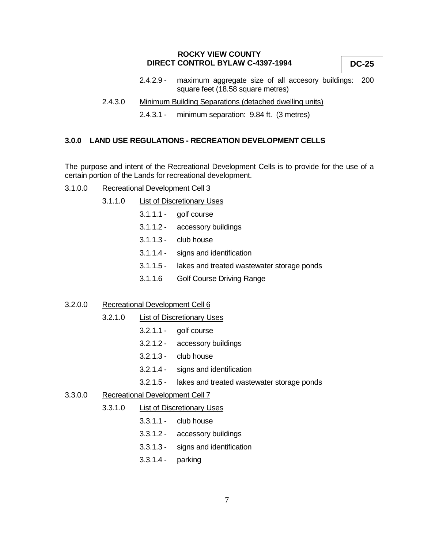**DC-25**

- 2.4.2.9 maximum aggregate size of all accesory buildings: 200 square feet (18.58 square metres)
- 2.4.3.0 Minimum Building Separations (detached dwelling units)

2.4.3.1 - minimum separation: 9.84 ft. (3 metres)

## **3.0.0 LAND USE REGULATIONS - RECREATION DEVELOPMENT CELLS**

The purpose and intent of the Recreational Development Cells is to provide for the use of a certain portion of the Lands for recreational development.

- 3.1.0.0 Recreational Development Cell 3
	- 3.1.1.0 List of Discretionary Uses
		- 3.1.1.1 golf course
			- 3.1.1.2 accessory buildings
			- 3.1.1.3 club house
			- 3.1.1.4 signs and identification
			- 3.1.1.5 lakes and treated wastewater storage ponds
			- 3.1.1.6 Golf Course Driving Range

# 3.2.0.0 Recreational Development Cell 6

- 3.2.1.0 List of Discretionary Uses
	- 3.2.1.1 golf course
	- 3.2.1.2 accessory buildings
	- 3.2.1.3 club house
	- 3.2.1.4 signs and identification
	- 3.2.1.5 lakes and treated wastewater storage ponds

#### 3.3.0.0 Recreational Development Cell 7

- 3.3.1.0 List of Discretionary Uses
	- 3.3.1.1 club house
	- 3.3.1.2 accessory buildings
	- 3.3.1.3 signs and identification
	- 3.3.1.4 parking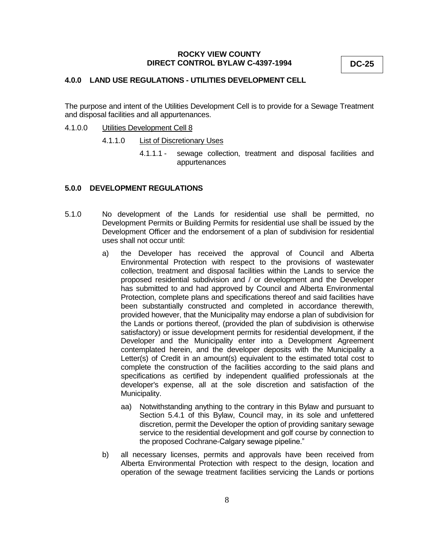**DC-25**

# **4.0.0 LAND USE REGULATIONS - UTILITIES DEVELOPMENT CELL**

The purpose and intent of the Utilities Development Cell is to provide for a Sewage Treatment and disposal facilities and all appurtenances.

### 4.1.0.0 Utilities Development Cell 8

- 4.1.1.0 List of Discretionary Uses
	- 4.1.1.1 sewage collection, treatment and disposal facilities and appurtenances

# **5.0.0 DEVELOPMENT REGULATIONS**

- 5.1.0 No development of the Lands for residential use shall be permitted, no Development Permits or Building Permits for residential use shall be issued by the Development Officer and the endorsement of a plan of subdivision for residential uses shall not occur until:
	- a) the Developer has received the approval of Council and Alberta Environmental Protection with respect to the provisions of wastewater collection, treatment and disposal facilities within the Lands to service the proposed residential subdivision and / or development and the Developer has submitted to and had approved by Council and Alberta Environmental Protection, complete plans and specifications thereof and said facilities have been substantially constructed and completed in accordance therewith, provided however, that the Municipality may endorse a plan of subdivision for the Lands or portions thereof, (provided the plan of subdivision is otherwise satisfactory) or issue development permits for residential development, if the Developer and the Municipality enter into a Development Agreement contemplated herein, and the developer deposits with the Municipality a Letter(s) of Credit in an amount(s) equivalent to the estimated total cost to complete the construction of the facilities according to the said plans and specifications as certified by independent qualified professionals at the developer's expense, all at the sole discretion and satisfaction of the Municipality.
		- aa) Notwithstanding anything to the contrary in this Bylaw and pursuant to Section 5.4.1 of this Bylaw, Council may, in its sole and unfettered discretion, permit the Developer the option of providing sanitary sewage service to the residential development and golf course by connection to the proposed Cochrane-Calgary sewage pipeline."
	- b) all necessary licenses, permits and approvals have been received from Alberta Environmental Protection with respect to the design, location and operation of the sewage treatment facilities servicing the Lands or portions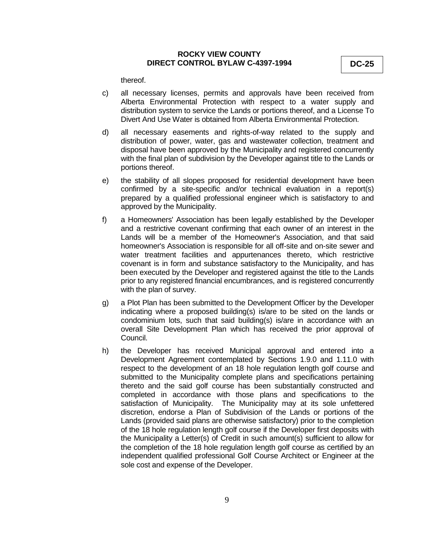thereof.

- c) all necessary licenses, permits and approvals have been received from Alberta Environmental Protection with respect to a water supply and distribution system to service the Lands or portions thereof, and a License To Divert And Use Water is obtained from Alberta Environmental Protection.
- d) all necessary easements and rights-of-way related to the supply and distribution of power, water, gas and wastewater collection, treatment and disposal have been approved by the Municipality and registered concurrently with the final plan of subdivision by the Developer against title to the Lands or portions thereof.
- e) the stability of all slopes proposed for residential development have been confirmed by a site-specific and/or technical evaluation in a report(s) prepared by a qualified professional engineer which is satisfactory to and approved by the Municipality.
- f) a Homeowners' Association has been legally established by the Developer and a restrictive covenant confirming that each owner of an interest in the Lands will be a member of the Homeowner's Association, and that said homeowner's Association is responsible for all off-site and on-site sewer and water treatment facilities and appurtenances thereto, which restrictive covenant is in form and substance satisfactory to the Municipality, and has been executed by the Developer and registered against the title to the Lands prior to any registered financial encumbrances, and is registered concurrently with the plan of survey.
- g) a Plot Plan has been submitted to the Development Officer by the Developer indicating where a proposed building(s) is/are to be sited on the lands or condominium lots, such that said building(s) is/are in accordance with an overall Site Development Plan which has received the prior approval of Council.
- h) the Developer has received Municipal approval and entered into a Development Agreement contemplated by Sections 1.9.0 and 1.11.0 with respect to the development of an 18 hole regulation length golf course and submitted to the Municipality complete plans and specifications pertaining thereto and the said golf course has been substantially constructed and completed in accordance with those plans and specifications to the satisfaction of Municipality. The Municipality may at its sole unfettered discretion, endorse a Plan of Subdivision of the Lands or portions of the Lands (provided said plans are otherwise satisfactory) prior to the completion of the 18 hole regulation length golf course if the Developer first deposits with the Municipality a Letter(s) of Credit in such amount(s) sufficient to allow for the completion of the 18 hole regulation length golf course as certified by an independent qualified professional Golf Course Architect or Engineer at the sole cost and expense of the Developer.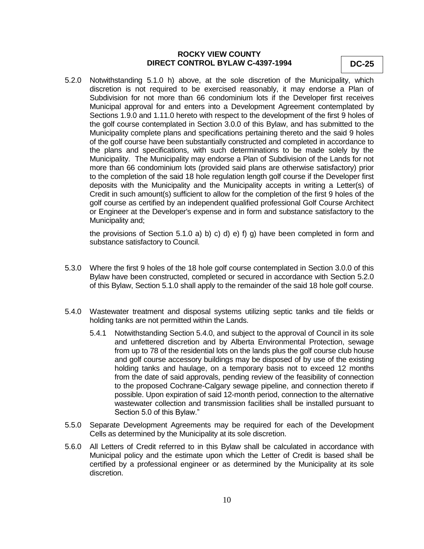5.2.0 Notwithstanding 5.1.0 h) above, at the sole discretion of the Municipality, which discretion is not required to be exercised reasonably, it may endorse a Plan of Subdivision for not more than 66 condominium lots if the Developer first receives Municipal approval for and enters into a Development Agreement contemplated by Sections 1.9.0 and 1.11.0 hereto with respect to the development of the first 9 holes of the golf course contemplated in Section 3.0.0 of this Bylaw, and has submitted to the Municipality complete plans and specifications pertaining thereto and the said 9 holes of the golf course have been substantially constructed and completed in accordance to the plans and specifications, with such determinations to be made solely by the Municipality. The Municipality may endorse a Plan of Subdivision of the Lands for not more than 66 condominium lots (provided said plans are otherwise satisfactory) prior to the completion of the said 18 hole regulation length golf course if the Developer first deposits with the Municipality and the Municipality accepts in writing a Letter(s) of Credit in such amount(s) sufficient to allow for the completion of the first 9 holes of the golf course as certified by an independent qualified professional Golf Course Architect or Engineer at the Developer's expense and in form and substance satisfactory to the Municipality and;

the provisions of Section 5.1.0 a) b) c) d) e) f) g) have been completed in form and substance satisfactory to Council.

- 5.3.0 Where the first 9 holes of the 18 hole golf course contemplated in Section 3.0.0 of this Bylaw have been constructed, completed or secured in accordance with Section 5.2.0 of this Bylaw, Section 5.1.0 shall apply to the remainder of the said 18 hole golf course.
- 5.4.0 Wastewater treatment and disposal systems utilizing septic tanks and tile fields or holding tanks are not permitted within the Lands.
	- 5.4.1 Notwithstanding Section 5.4.0, and subject to the approval of Council in its sole and unfettered discretion and by Alberta Environmental Protection, sewage from up to 78 of the residential lots on the lands plus the golf course club house and golf course accessory buildings may be disposed of by use of the existing holding tanks and haulage, on a temporary basis not to exceed 12 months from the date of said approvals, pending review of the feasibility of connection to the proposed Cochrane-Calgary sewage pipeline, and connection thereto if possible. Upon expiration of said 12-month period, connection to the alternative wastewater collection and transmission facilities shall be installed pursuant to Section 5.0 of this Bylaw."
- 5.5.0 Separate Development Agreements may be required for each of the Development Cells as determined by the Municipality at its sole discretion.
- 5.6.0 All Letters of Credit referred to in this Bylaw shall be calculated in accordance with Municipal policy and the estimate upon which the Letter of Credit is based shall be certified by a professional engineer or as determined by the Municipality at its sole discretion.

**DC-25**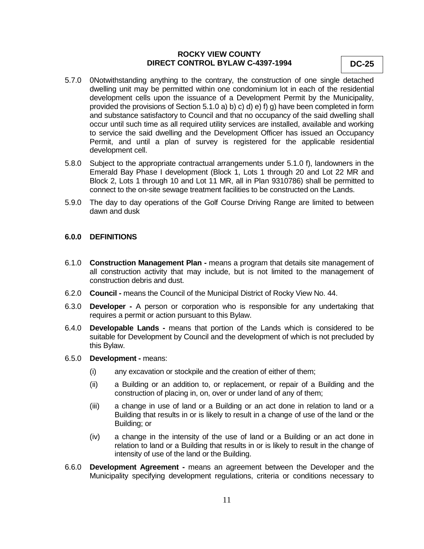**DC-25**

- 5.7.0 0Notwithstanding anything to the contrary, the construction of one single detached dwelling unit may be permitted within one condominium lot in each of the residential development cells upon the issuance of a Development Permit by the Municipality, provided the provisions of Section 5.1.0 a) b) c) d) e) f) g) have been completed in form and substance satisfactory to Council and that no occupancy of the said dwelling shall occur until such time as all required utility services are installed, available and working to service the said dwelling and the Development Officer has issued an Occupancy Permit, and until a plan of survey is registered for the applicable residential development cell.
- 5.8.0 Subject to the appropriate contractual arrangements under 5.1.0 f), landowners in the Emerald Bay Phase I development (Block 1, Lots 1 through 20 and Lot 22 MR and Block 2, Lots 1 through 10 and Lot 11 MR, all in Plan 9310786) shall be permitted to connect to the on-site sewage treatment facilities to be constructed on the Lands.
- 5.9.0 The day to day operations of the Golf Course Driving Range are limited to between dawn and dusk

# **6.0.0 DEFINITIONS**

- 6.1.0 **Construction Management Plan -** means a program that details site management of all construction activity that may include, but is not limited to the management of construction debris and dust.
- 6.2.0 **Council -** means the Council of the Municipal District of Rocky View No. 44.
- 6.3.0 **Developer -** A person or corporation who is responsible for any undertaking that requires a permit or action pursuant to this Bylaw.
- 6.4.0 **Developable Lands -** means that portion of the Lands which is considered to be suitable for Development by Council and the development of which is not precluded by this Bylaw.
- 6.5.0 **Development -** means:
	- (i) any excavation or stockpile and the creation of either of them;
	- (ii) a Building or an addition to, or replacement, or repair of a Building and the construction of placing in, on, over or under land of any of them;
	- (iii) a change in use of land or a Building or an act done in relation to land or a Building that results in or is likely to result in a change of use of the land or the Building; or
	- (iv) a change in the intensity of the use of land or a Building or an act done in relation to land or a Building that results in or is likely to result in the change of intensity of use of the land or the Building.
- 6.6.0 **Development Agreement -** means an agreement between the Developer and the Municipality specifying development regulations, criteria or conditions necessary to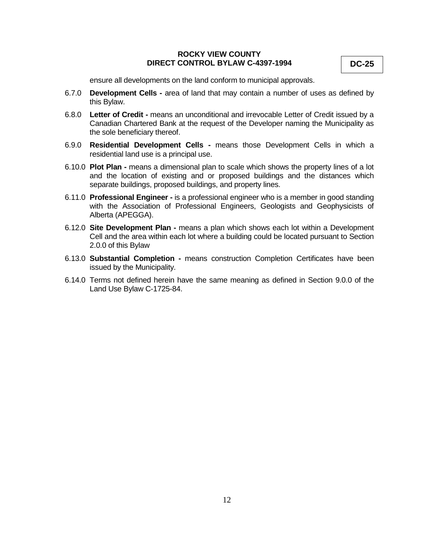**DC-25**

ensure all developments on the land conform to municipal approvals.

- 6.7.0 **Development Cells -** area of land that may contain a number of uses as defined by this Bylaw.
- 6.8.0 **Letter of Credit -** means an unconditional and irrevocable Letter of Credit issued by a Canadian Chartered Bank at the request of the Developer naming the Municipality as the sole beneficiary thereof.
- 6.9.0 **Residential Development Cells -** means those Development Cells in which a residential land use is a principal use.
- 6.10.0 **Plot Plan -** means a dimensional plan to scale which shows the property lines of a lot and the location of existing and or proposed buildings and the distances which separate buildings, proposed buildings, and property lines.
- 6.11.0 **Professional Engineer -** is a professional engineer who is a member in good standing with the Association of Professional Engineers, Geologists and Geophysicists of Alberta (APEGGA).
- 6.12.0 **Site Development Plan -** means a plan which shows each lot within a Development Cell and the area within each lot where a building could be located pursuant to Section 2.0.0 of this Bylaw
- 6.13.0 **Substantial Completion -** means construction Completion Certificates have been issued by the Municipality.
- 6.14.0 Terms not defined herein have the same meaning as defined in Section 9.0.0 of the Land Use Bylaw C-1725-84.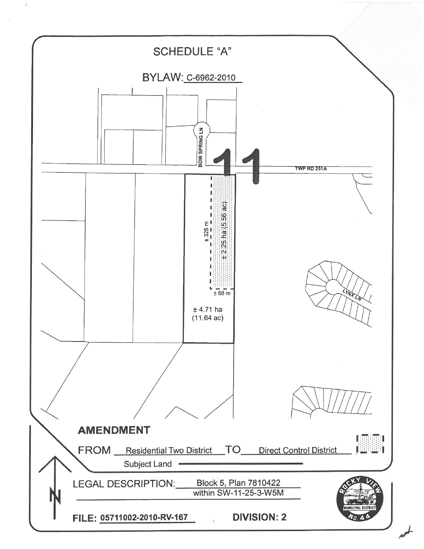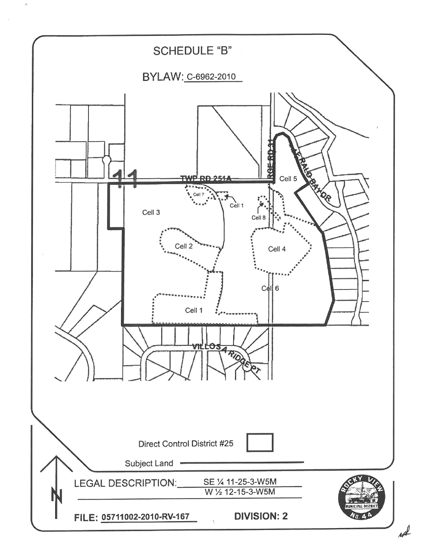

rol